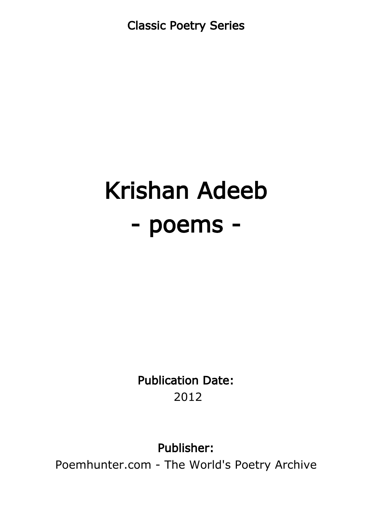Classic Poetry Series

# Krishan Adeeb - poems -

Publication Date: 2012

Publisher:

Poemhunter.com - The World's Poetry Archive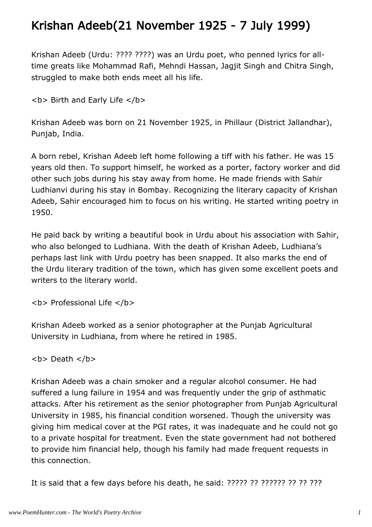#### Krishan Adeeb(21 November 1925 - 7 July 1999)

Krishan Adeeb (Urdu: ???? ????) was an Urdu poet, who penned lyrics for alltime greats like Mohammad Rafi, Mehndi Hassan, Jagjit Singh and Chitra Singh, struggled to make both ends meet all his life.

```
<b> Birth and Early Life </b>
```
Krishan Adeeb was born on 21 November 1925, in Phillaur (District Jallandhar), Punjab, India.

A born rebel, Krishan Adeeb left home following a tiff with his father. He was 15 years old then. To support himself, he worked as a porter, factory worker and did other such jobs during his stay away from home. He made friends with Sahir Ludhianvi during his stay in Bombay. Recognizing the literary capacity of Krishan Adeeb, Sahir encouraged him to focus on his writing. He started writing poetry in 1950.

He paid back by writing a beautiful book in Urdu about his association with Sahir, who also belonged to Ludhiana. With the death of Krishan Adeeb, Ludhiana's perhaps last link with Urdu poetry has been snapped. It also marks the end of the Urdu literary tradition of the town, which has given some excellent poets and writers to the literary world.

**<b> Professional Life </b>** 

Krishan Adeeb worked as a senior photographer at the Punjab Agricultural University in Ludhiana, from where he retired in 1985.

<b> Death </b>

Krishan Adeeb was a chain smoker and a regular alcohol consumer. He had suffered a lung failure in 1954 and was frequently under the grip of asthmatic attacks. After his retirement as the senior photographer from Punjab Agricultural University in 1985, his financial condition worsened. Though the university was giving him medical cover at the PGI rates, it was inadequate and he could not go to a private hospital for treatment. Even the state government had not bothered to provide him financial help, though his family had made frequent requests in this connection.

It is said that a few days before his death, he said: ????? ?? ?????? ?? ?? ???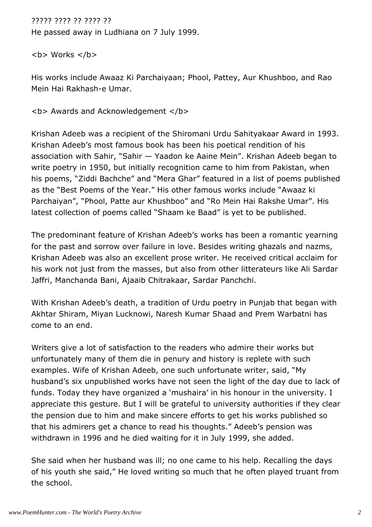????? ???? ?? ???? ??

He passed away in Ludhiana on 7 July 1999.

 **Works**  $******/b******$ 

His works include Awaaz Ki Parchaiyaan; Phool, Pattey, Aur Khushboo, and Rao Mein Hai Rakhash-e Umar.

**<b> Awards and Acknowledgement </b>** 

Krishan Adeeb was a recipient of the Shiromani Urdu Sahityakaar Award in 1993. Krishan Adeeb's most famous book has been his poetical rendition of his association with Sahir, "Sahir — Yaadon ke Aaine Mein". Krishan Adeeb began to write poetry in 1950, but initially recognition came to him from Pakistan, when his poems, "Ziddi Bachche" and "Mera Ghar" featured in a list of poems published as the "Best Poems of the Year." His other famous works include "Awaaz ki Parchaiyan", "Phool, Patte aur Khushboo" and "Ro Mein Hai Rakshe Umar". His latest collection of poems called "Shaam ke Baad" is yet to be published.

The predominant feature of Krishan Adeeb's works has been a romantic yearning for the past and sorrow over failure in love. Besides writing ghazals and nazms, Krishan Adeeb was also an excellent prose writer. He received critical acclaim for his work not just from the masses, but also from other litterateurs like Ali Sardar Jaffri, Manchanda Bani, Ajaaib Chitrakaar, Sardar Panchchi.

With Krishan Adeeb's death, a tradition of Urdu poetry in Punjab that began with Akhtar Shiram, Miyan Lucknowi, Naresh Kumar Shaad and Prem Warbatni has come to an end.

Writers give a lot of satisfaction to the readers who admire their works but unfortunately many of them die in penury and history is replete with such examples. Wife of Krishan Adeeb, one such unfortunate writer, said, "My husband's six unpublished works have not seen the light of the day due to lack of funds. Today they have organized a 'mushaira' in his honour in the university. I appreciate this gesture. But I will be grateful to university authorities if they clear the pension due to him and make sincere efforts to get his works published so that his admirers get a chance to read his thoughts." Adeeb's pension was withdrawn in 1996 and he died waiting for it in July 1999, she added.

She said when her husband was ill; no one came to his help. Recalling the days of his youth she said," He loved writing so much that he often played truant from the school.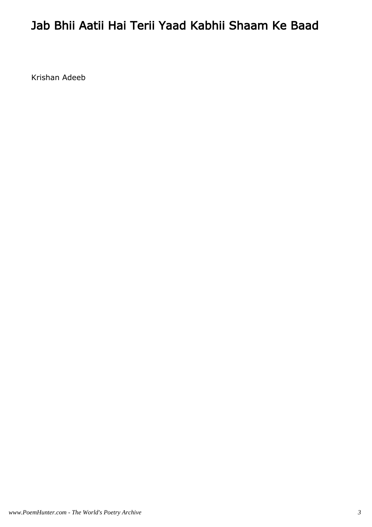### Jab Bhii Aatii Hai Terii Yaad Kabhii Shaam Ke Baad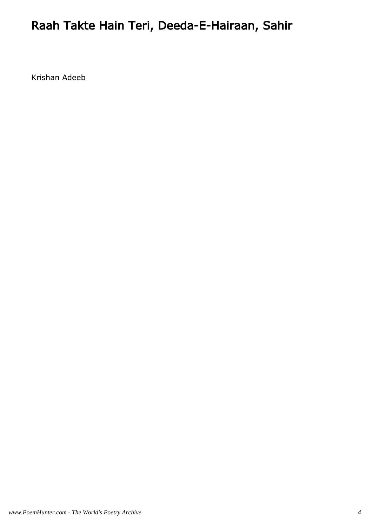# Raah Takte Hain Teri, Deeda-E-Hairaan, Sahir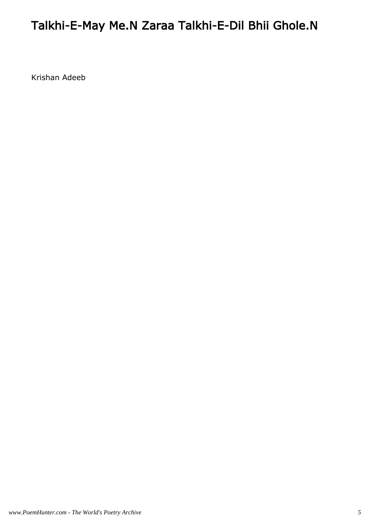## Talkhi-E-May Me.N Zaraa Talkhi-E-Dil Bhii Ghole.N